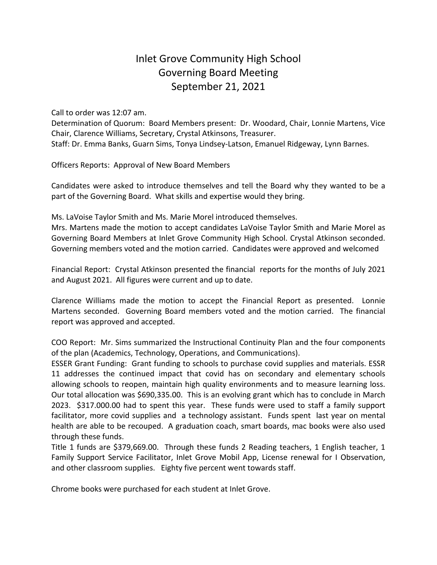## Inlet Grove Community High School Governing Board Meeting September 21, 2021

Call to order was 12:07 am.

Determination of Quorum: Board Members present: Dr. Woodard, Chair, Lonnie Martens, Vice Chair, Clarence Williams, Secretary, Crystal Atkinsons, Treasurer. Staff: Dr. Emma Banks, Guarn Sims, Tonya Lindsey-Latson, Emanuel Ridgeway, Lynn Barnes.

Officers Reports: Approval of New Board Members

Candidates were asked to introduce themselves and tell the Board why they wanted to be a part of the Governing Board. What skills and expertise would they bring.

Ms. LaVoise Taylor Smith and Ms. Marie Morel introduced themselves.

Mrs. Martens made the motion to accept candidates LaVoise Taylor Smith and Marie Morel as Governing Board Members at Inlet Grove Community High School. Crystal Atkinson seconded. Governing members voted and the motion carried. Candidates were approved and welcomed

Financial Report: Crystal Atkinson presented the financial reports for the months of July 2021 and August 2021. All figures were current and up to date.

Clarence Williams made the motion to accept the Financial Report as presented. Lonnie Martens seconded. Governing Board members voted and the motion carried. The financial report was approved and accepted.

COO Report: Mr. Sims summarized the Instructional Continuity Plan and the four components of the plan (Academics, Technology, Operations, and Communications).

ESSER Grant Funding: Grant funding to schools to purchase covid supplies and materials. ESSR 11 addresses the continued impact that covid has on secondary and elementary schools allowing schools to reopen, maintain high quality environments and to measure learning loss. Our total allocation was \$690,335.00. This is an evolving grant which has to conclude in March 2023. \$317.000.00 had to spent this year. These funds were used to staff a family support facilitator, more covid supplies and a technology assistant. Funds spent last year on mental health are able to be recouped. A graduation coach, smart boards, mac books were also used through these funds.

Title 1 funds are \$379,669.00. Through these funds 2 Reading teachers, 1 English teacher, 1 Family Support Service Facilitator, Inlet Grove Mobil App, License renewal for I Observation, and other classroom supplies. Eighty five percent went towards staff.

Chrome books were purchased for each student at Inlet Grove.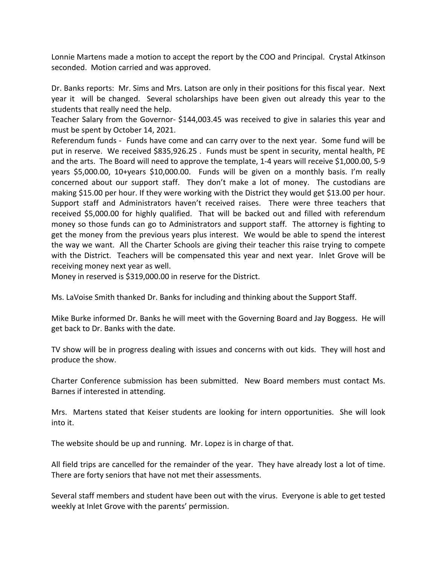Lonnie Martens made a motion to accept the report by the COO and Principal. Crystal Atkinson seconded. Motion carried and was approved.

Dr. Banks reports: Mr. Sims and Mrs. Latson are only in their positions for this fiscal year. Next year it will be changed. Several scholarships have been given out already this year to the students that really need the help.

Teacher Salary from the Governor- \$144,003.45 was received to give in salaries this year and must be spent by October 14, 2021.

Referendum funds - Funds have come and can carry over to the next year. Some fund will be put in reserve. We received \$835,926.25 . Funds must be spent in security, mental health, PE and the arts. The Board will need to approve the template, 1-4 years will receive \$1,000.00, 5-9 years \$5,000.00, 10+years \$10,000.00. Funds will be given on a monthly basis. I'm really concerned about our support staff. They don't make a lot of money. The custodians are making \$15.00 per hour. If they were working with the District they would get \$13.00 per hour. Support staff and Administrators haven't received raises. There were three teachers that received \$5,000.00 for highly qualified. That will be backed out and filled with referendum money so those funds can go to Administrators and support staff. The attorney is fighting to get the money from the previous years plus interest. We would be able to spend the interest the way we want. All the Charter Schools are giving their teacher this raise trying to compete with the District. Teachers will be compensated this year and next year. Inlet Grove will be receiving money next year as well.

Money in reserved is \$319,000.00 in reserve for the District.

Ms. LaVoise Smith thanked Dr. Banks for including and thinking about the Support Staff.

Mike Burke informed Dr. Banks he will meet with the Governing Board and Jay Boggess. He will get back to Dr. Banks with the date.

TV show will be in progress dealing with issues and concerns with out kids. They will host and produce the show.

Charter Conference submission has been submitted. New Board members must contact Ms. Barnes if interested in attending.

Mrs. Martens stated that Keiser students are looking for intern opportunities. She will look into it.

The website should be up and running. Mr. Lopez is in charge of that.

All field trips are cancelled for the remainder of the year. They have already lost a lot of time. There are forty seniors that have not met their assessments.

Several staff members and student have been out with the virus. Everyone is able to get tested weekly at Inlet Grove with the parents' permission.